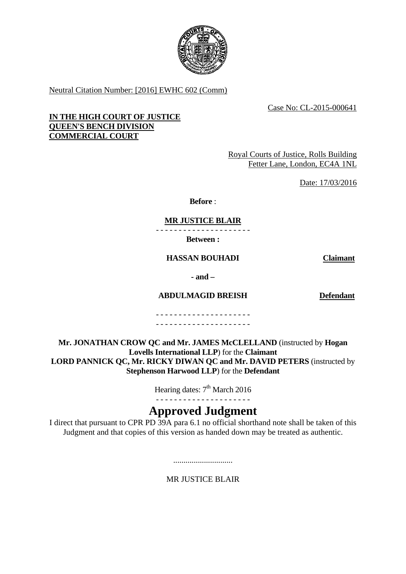

Neutral Citation Number: [2016] EWHC 602 (Comm)

Case No: CL-2015-000641

# **IN THE HIGH COURT OF JUSTICE QUEEN'S BENCH DIVISION COMMERCIAL COURT**

Royal Courts of Justice, Rolls Building Fetter Lane, London, EC4A 1NL

Date: 17/03/2016

**Before** :

**MR JUSTICE BLAIR**

- - - - - - - - - - - - - - - - - - - - - **Between :** 

**HASSAN BOUHADI Claimant**

**- and –** 

**ABDULMAGID BREISH Defendant**

- - - - - - - - - - - - - - - - - - - - - - - - - - - - - - - - - - - - - - - - - -

**Mr. JONATHAN CROW QC and Mr. JAMES McCLELLAND** (instructed by **Hogan Lovells International LLP**) for the **Claimant LORD PANNICK QC, Mr. RICKY DIWAN QC and Mr. DAVID PETERS** (instructed by **Stephenson Harwood LLP**) for the **Defendant**

Hearing dates: 7<sup>th</sup> March 2016

# **Approved Judgment**

I direct that pursuant to CPR PD 39A para 6.1 no official shorthand note shall be taken of this Judgment and that copies of this version as handed down may be treated as authentic.

.............................

MR JUSTICE BLAIR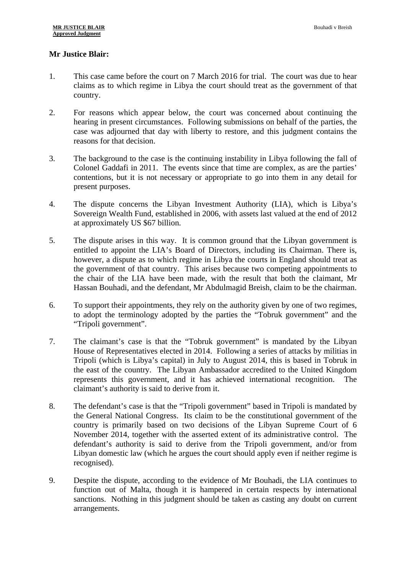# **Mr Justice Blair:**

- 1. This case came before the court on 7 March 2016 for trial. The court was due to hear claims as to which regime in Libya the court should treat as the government of that country.
- 2. For reasons which appear below, the court was concerned about continuing the hearing in present circumstances. Following submissions on behalf of the parties, the case was adjourned that day with liberty to restore, and this judgment contains the reasons for that decision.
- 3. The background to the case is the continuing instability in Libya following the fall of Colonel Gaddafi in 2011. The events since that time are complex, as are the parties' contentions, but it is not necessary or appropriate to go into them in any detail for present purposes.
- 4. The dispute concerns the Libyan Investment Authority (LIA), which is Libya's Sovereign Wealth Fund, established in 2006, with assets last valued at the end of 2012 at approximately US \$67 billion.
- 5. The dispute arises in this way. It is common ground that the Libyan government is entitled to appoint the LIA's Board of Directors, including its Chairman. There is, however, a dispute as to which regime in Libya the courts in England should treat as the government of that country. This arises because two competing appointments to the chair of the LIA have been made, with the result that both the claimant, Mr Hassan Bouhadi, and the defendant, Mr Abdulmagid Breish, claim to be the chairman.
- 6. To support their appointments, they rely on the authority given by one of two regimes, to adopt the terminology adopted by the parties the "Tobruk government" and the "Tripoli government".
- 7. The claimant's case is that the "Tobruk government" is mandated by the Libyan House of Representatives elected in 2014. Following a series of attacks by militias in Tripoli (which is Libya's capital) in July to August 2014, this is based in Tobruk in the east of the country. The Libyan Ambassador accredited to the United Kingdom represents this government, and it has achieved international recognition. The claimant's authority is said to derive from it.
- 8. The defendant's case is that the "Tripoli government" based in Tripoli is mandated by the General National Congress. Its claim to be the constitutional government of the country is primarily based on two decisions of the Libyan Supreme Court of 6 November 2014, together with the asserted extent of its administrative control. The defendant's authority is said to derive from the Tripoli government, and/or from Libyan domestic law (which he argues the court should apply even if neither regime is recognised).
- 9. Despite the dispute, according to the evidence of Mr Bouhadi, the LIA continues to function out of Malta, though it is hampered in certain respects by international sanctions. Nothing in this judgment should be taken as casting any doubt on current arrangements.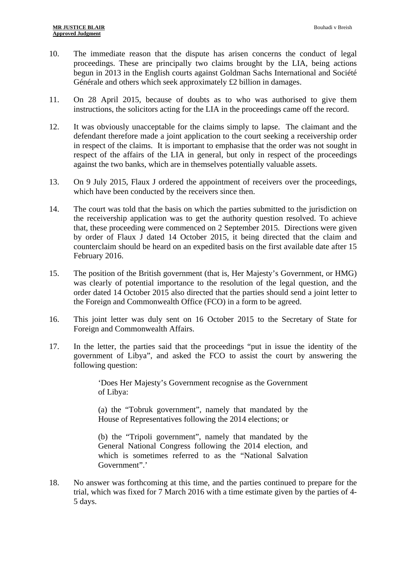- 10. The immediate reason that the dispute has arisen concerns the conduct of legal proceedings. These are principally two claims brought by the LIA, being actions begun in 2013 in the English courts against Goldman Sachs International and Société Générale and others which seek approximately £2 billion in damages.
- 11. On 28 April 2015, because of doubts as to who was authorised to give them instructions, the solicitors acting for the LIA in the proceedings came off the record.
- 12. It was obviously unacceptable for the claims simply to lapse. The claimant and the defendant therefore made a joint application to the court seeking a receivership order in respect of the claims. It is important to emphasise that the order was not sought in respect of the affairs of the LIA in general, but only in respect of the proceedings against the two banks, which are in themselves potentially valuable assets.
- 13. On 9 July 2015, Flaux J ordered the appointment of receivers over the proceedings, which have been conducted by the receivers since then.
- 14. The court was told that the basis on which the parties submitted to the jurisdiction on the receivership application was to get the authority question resolved. To achieve that, these proceeding were commenced on 2 September 2015. Directions were given by order of Flaux J dated 14 October 2015, it being directed that the claim and counterclaim should be heard on an expedited basis on the first available date after 15 February 2016.
- 15. The position of the British government (that is, Her Majesty's Government, or HMG) was clearly of potential importance to the resolution of the legal question, and the order dated 14 October 2015 also directed that the parties should send a joint letter to the Foreign and Commonwealth Office (FCO) in a form to be agreed.
- 16. This joint letter was duly sent on 16 October 2015 to the Secretary of State for Foreign and Commonwealth Affairs.
- 17. In the letter, the parties said that the proceedings "put in issue the identity of the government of Libya", and asked the FCO to assist the court by answering the following question:

'Does Her Majesty's Government recognise as the Government of Libya:

(a) the "Tobruk government", namely that mandated by the House of Representatives following the 2014 elections; or

(b) the "Tripoli government", namely that mandated by the General National Congress following the 2014 election, and which is sometimes referred to as the "National Salvation Government".'

18. No answer was forthcoming at this time, and the parties continued to prepare for the trial, which was fixed for 7 March 2016 with a time estimate given by the parties of 4- 5 days.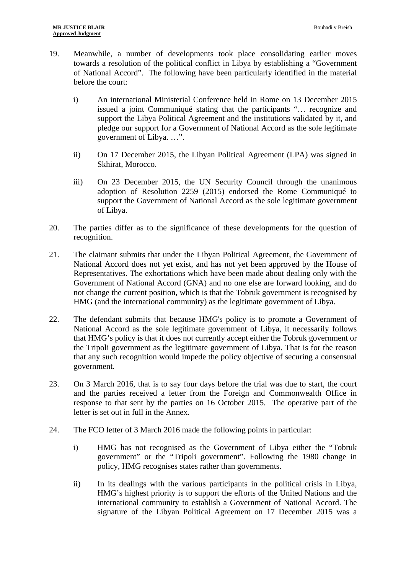- 19. Meanwhile, a number of developments took place consolidating earlier moves towards a resolution of the political conflict in Libya by establishing a "Government of National Accord". The following have been particularly identified in the material before the court:
	- i) An international Ministerial Conference held in Rome on 13 December 2015 issued a joint Communiqué stating that the participants "… recognize and support the Libya Political Agreement and the institutions validated by it, and pledge our support for a Government of National Accord as the sole legitimate government of Libya. …".
	- ii) On 17 December 2015, the Libyan Political Agreement (LPA) was signed in Skhirat, Morocco.
	- iii) On 23 December 2015, the UN Security Council through the unanimous adoption of Resolution 2259 (2015) endorsed the Rome Communiqué to support the Government of National Accord as the sole legitimate government of Libya.
- 20. The parties differ as to the significance of these developments for the question of recognition.
- 21. The claimant submits that under the Libyan Political Agreement, the Government of National Accord does not yet exist, and has not yet been approved by the House of Representatives. The exhortations which have been made about dealing only with the Government of National Accord (GNA) and no one else are forward looking, and do not change the current position, which is that the Tobruk government is recognised by HMG (and the international community) as the legitimate government of Libya.
- 22. The defendant submits that because HMG's policy is to promote a Government of National Accord as the sole legitimate government of Libya, it necessarily follows that HMG's policy is that it does not currently accept either the Tobruk government or the Tripoli government as the legitimate government of Libya. That is for the reason that any such recognition would impede the policy objective of securing a consensual government.
- 23. On 3 March 2016, that is to say four days before the trial was due to start, the court and the parties received a letter from the Foreign and Commonwealth Office in response to that sent by the parties on 16 October 2015. The operative part of the letter is set out in full in the Annex.
- 24. The FCO letter of 3 March 2016 made the following points in particular:
	- i) HMG has not recognised as the Government of Libya either the "Tobruk government" or the "Tripoli government". Following the 1980 change in policy, HMG recognises states rather than governments.
	- ii) In its dealings with the various participants in the political crisis in Libya, HMG's highest priority is to support the efforts of the United Nations and the international community to establish a Government of National Accord. The signature of the Libyan Political Agreement on 17 December 2015 was a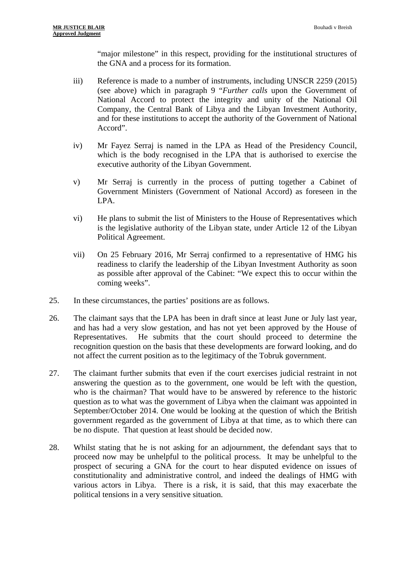"major milestone" in this respect, providing for the institutional structures of the GNA and a process for its formation.

- iii) Reference is made to a number of instruments, including UNSCR 2259 (2015) (see above) which in paragraph 9 "*Further calls* upon the Government of National Accord to protect the integrity and unity of the National Oil Company, the Central Bank of Libya and the Libyan Investment Authority, and for these institutions to accept the authority of the Government of National Accord".
- iv) Mr Fayez Serraj is named in the LPA as Head of the Presidency Council, which is the body recognised in the LPA that is authorised to exercise the executive authority of the Libyan Government.
- v) Mr Serraj is currently in the process of putting together a Cabinet of Government Ministers (Government of National Accord) as foreseen in the LPA.
- vi) He plans to submit the list of Ministers to the House of Representatives which is the legislative authority of the Libyan state, under Article 12 of the Libyan Political Agreement.
- vii) On 25 February 2016, Mr Serraj confirmed to a representative of HMG his readiness to clarify the leadership of the Libyan Investment Authority as soon as possible after approval of the Cabinet: "We expect this to occur within the coming weeks".
- 25. In these circumstances, the parties' positions are as follows.
- 26. The claimant says that the LPA has been in draft since at least June or July last year, and has had a very slow gestation, and has not yet been approved by the House of Representatives. He submits that the court should proceed to determine the recognition question on the basis that these developments are forward looking, and do not affect the current position as to the legitimacy of the Tobruk government.
- 27. The claimant further submits that even if the court exercises judicial restraint in not answering the question as to the government, one would be left with the question, who is the chairman? That would have to be answered by reference to the historic question as to what was the government of Libya when the claimant was appointed in September/October 2014. One would be looking at the question of which the British government regarded as the government of Libya at that time, as to which there can be no dispute. That question at least should be decided now.
- 28. Whilst stating that he is not asking for an adjournment, the defendant says that to proceed now may be unhelpful to the political process. It may be unhelpful to the prospect of securing a GNA for the court to hear disputed evidence on issues of constitutionality and administrative control, and indeed the dealings of HMG with various actors in Libya. There is a risk, it is said, that this may exacerbate the political tensions in a very sensitive situation.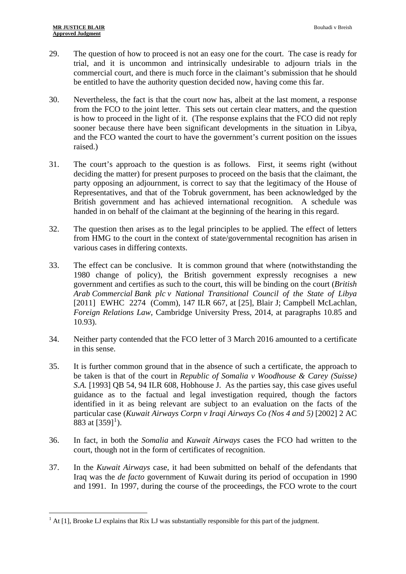1

- 29. The question of how to proceed is not an easy one for the court. The case is ready for trial, and it is uncommon and intrinsically undesirable to adjourn trials in the commercial court, and there is much force in the claimant's submission that he should be entitled to have the authority question decided now, having come this far.
- 30. Nevertheless, the fact is that the court now has, albeit at the last moment, a response from the FCO to the joint letter. This sets out certain clear matters, and the question is how to proceed in the light of it. (The response explains that the FCO did not reply sooner because there have been significant developments in the situation in Libya, and the FCO wanted the court to have the government's current position on the issues raised.)
- 31. The court's approach to the question is as follows. First, it seems right (without deciding the matter) for present purposes to proceed on the basis that the claimant, the party opposing an adjournment, is correct to say that the legitimacy of the House of Representatives, and that of the Tobruk government, has been acknowledged by the British government and has achieved international recognition. A schedule was handed in on behalf of the claimant at the beginning of the hearing in this regard.
- 32. The question then arises as to the legal principles to be applied. The effect of letters from HMG to the court in the context of state/governmental recognition has arisen in various cases in differing contexts.
- 33. The effect can be conclusive. It is common ground that where (notwithstanding the 1980 change of policy), the British government expressly recognises a new government and certifies as such to the court, this will be binding on the court (*British Arab Commercial Bank plc v National Transitional Council of the State of Libya* [2011] EWHC 2274 (Comm), 147 ILR 667, at [25], Blair J; Campbell McLachlan, *Foreign Relations Law*, Cambridge University Press, 2014, at paragraphs 10.85 and 10.93).
- 34. Neither party contended that the FCO letter of 3 March 2016 amounted to a certificate in this sense.
- 35. It is further common ground that in the absence of such a certificate, the approach to be taken is that of the court in *Republic of Somalia v Woodhouse & Carey (Suisse) S.A.* [1993] QB 54, 94 ILR 608, Hobhouse J. As the parties say, this case gives useful guidance as to the factual and legal investigation required, though the factors identified in it as being relevant are subject to an evaluation on the facts of the particular case (*Kuwait Airways Corpn v Iraqi Airways Co (Nos 4 and 5)* [2002] 2 AC 883 at  $[359]$ <sup>[1](#page-5-0)</sup>).
- 36. In fact, in both the *Somalia* and *Kuwait Airways* cases the FCO had written to the court, though not in the form of certificates of recognition.
- 37. In the *Kuwait Airways* case, it had been submitted on behalf of the defendants that Iraq was the *de facto* government of Kuwait during its period of occupation in 1990 and 1991. In 1997, during the course of the proceedings, the FCO wrote to the court

<span id="page-5-0"></span> $<sup>1</sup>$  At [1], Brooke LJ explains that Rix LJ was substantially responsible for this part of the judgment.</sup>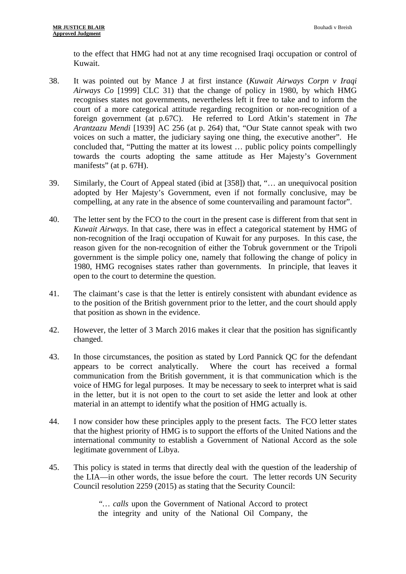to the effect that HMG had not at any time recognised Iraqi occupation or control of Kuwait.

- 38. It was pointed out by Mance J at first instance (*Kuwait Airways Corpn v Iraqi Airways Co* [1999] CLC 31) that the change of policy in 1980, by which HMG recognises states not governments, nevertheless left it free to take and to inform the court of a more categorical attitude regarding recognition or non-recognition of a foreign government (at p.67C). He referred to Lord Atkin's statement in *The Arantzazu Mendi* [1939] AC 256 (at p. 264) that, "Our State cannot speak with two voices on such a matter, the judiciary saying one thing, the executive another". He concluded that, "Putting the matter at its lowest … public policy points compellingly towards the courts adopting the same attitude as Her Majesty's Government manifests" (at p. 67H).
- 39. Similarly, the Court of Appeal stated (ibid at [358]) that, "… an unequivocal position adopted by Her Majesty's Government, even if not formally conclusive, may be compelling, at any rate in the absence of some countervailing and paramount factor".
- 40. The letter sent by the FCO to the court in the present case is different from that sent in *Kuwait Airways*. In that case, there was in effect a categorical statement by HMG of non-recognition of the Iraqi occupation of Kuwait for any purposes. In this case, the reason given for the non-recognition of either the Tobruk government or the Tripoli government is the simple policy one, namely that following the change of policy in 1980, HMG recognises states rather than governments. In principle, that leaves it open to the court to determine the question.
- 41. The claimant's case is that the letter is entirely consistent with abundant evidence as to the position of the British government prior to the letter, and the court should apply that position as shown in the evidence.
- 42. However, the letter of 3 March 2016 makes it clear that the position has significantly changed.
- 43. In those circumstances, the position as stated by Lord Pannick QC for the defendant appears to be correct analytically. Where the court has received a formal communication from the British government, it is that communication which is the voice of HMG for legal purposes. It may be necessary to seek to interpret what is said in the letter, but it is not open to the court to set aside the letter and look at other material in an attempt to identify what the position of HMG actually is.
- 44. I now consider how these principles apply to the present facts. The FCO letter states that the highest priority of HMG is to support the efforts of the United Nations and the international community to establish a Government of National Accord as the sole legitimate government of Libya.
- 45. This policy is stated in terms that directly deal with the question of the leadership of the LIA—in other words, the issue before the court. The letter records UN Security Council resolution 2259 (2015) as stating that the Security Council:

*"… calls* upon the Government of National Accord to protect the integrity and unity of the National Oil Company, the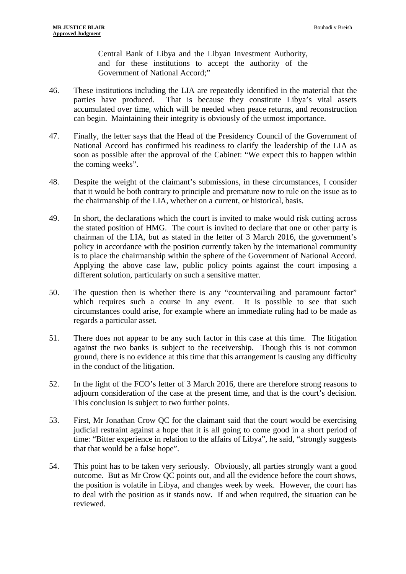Central Bank of Libya and the Libyan Investment Authority, and for these institutions to accept the authority of the Government of National Accord;"

- 46. These institutions including the LIA are repeatedly identified in the material that the parties have produced. That is because they constitute Libya's vital assets accumulated over time, which will be needed when peace returns, and reconstruction can begin. Maintaining their integrity is obviously of the utmost importance.
- 47. Finally, the letter says that the Head of the Presidency Council of the Government of National Accord has confirmed his readiness to clarify the leadership of the LIA as soon as possible after the approval of the Cabinet: "We expect this to happen within the coming weeks".
- 48. Despite the weight of the claimant's submissions, in these circumstances, I consider that it would be both contrary to principle and premature now to rule on the issue as to the chairmanship of the LIA, whether on a current, or historical, basis.
- 49. In short, the declarations which the court is invited to make would risk cutting across the stated position of HMG. The court is invited to declare that one or other party is chairman of the LIA, but as stated in the letter of 3 March 2016, the government's policy in accordance with the position currently taken by the international community is to place the chairmanship within the sphere of the Government of National Accord. Applying the above case law, public policy points against the court imposing a different solution, particularly on such a sensitive matter.
- 50. The question then is whether there is any "countervailing and paramount factor" which requires such a course in any event. It is possible to see that such circumstances could arise, for example where an immediate ruling had to be made as regards a particular asset.
- 51. There does not appear to be any such factor in this case at this time. The litigation against the two banks is subject to the receivership. Though this is not common ground, there is no evidence at this time that this arrangement is causing any difficulty in the conduct of the litigation.
- 52. In the light of the FCO's letter of 3 March 2016, there are therefore strong reasons to adjourn consideration of the case at the present time, and that is the court's decision. This conclusion is subject to two further points.
- 53. First, Mr Jonathan Crow QC for the claimant said that the court would be exercising judicial restraint against a hope that it is all going to come good in a short period of time: "Bitter experience in relation to the affairs of Libya", he said, "strongly suggests that that would be a false hope".
- 54. This point has to be taken very seriously. Obviously, all parties strongly want a good outcome. But as Mr Crow QC points out, and all the evidence before the court shows, the position is volatile in Libya, and changes week by week. However, the court has to deal with the position as it stands now. If and when required, the situation can be reviewed.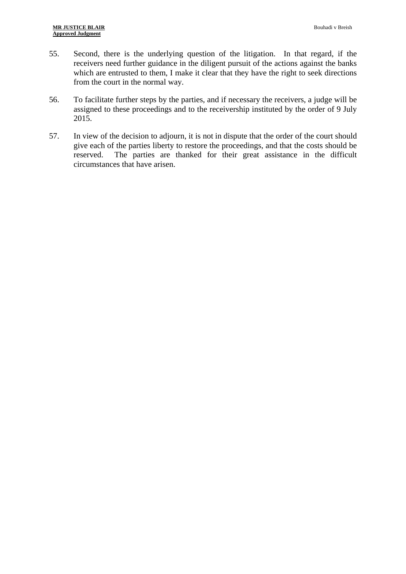- 55. Second, there is the underlying question of the litigation. In that regard, if the receivers need further guidance in the diligent pursuit of the actions against the banks which are entrusted to them, I make it clear that they have the right to seek directions from the court in the normal way.
- 56. To facilitate further steps by the parties, and if necessary the receivers, a judge will be assigned to these proceedings and to the receivership instituted by the order of 9 July 2015.
- 57. In view of the decision to adjourn, it is not in dispute that the order of the court should give each of the parties liberty to restore the proceedings, and that the costs should be reserved. The parties are thanked for their great assistance in the difficult circumstances that have arisen.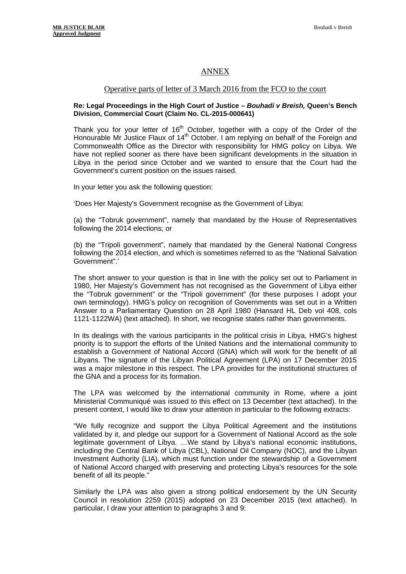## ANNEX

### Operative parts of letter of 3 March 2016 from the FCO to the court

#### **Re: Legal Proceedings in the High Court of Justice –** *Bouhadi v Breish,* **Queen's Bench Division, Commercial Court (Claim No. CL-2015-000641)**

Thank you for your letter of  $16<sup>th</sup>$  October, together with a copy of the Order of the Honourable Mr Justice Flaux of  $14<sup>th</sup>$  October. I am replying on behalf of the Foreign and Commonwealth Office as the Director with responsibility for HMG policy on Libya. We have not replied sooner as there have been significant developments in the situation in Libya in the period since October and we wanted to ensure that the Court had the Government's current position on the issues raised.

In your letter you ask the following question:

'Does Her Majesty's Government recognise as the Government of Libya:

(a) the "Tobruk government", namely that mandated by the House of Representatives following the 2014 elections; or

(b) the "Tripoli government", namely that mandated by the General National Congress following the 2014 election, and which is sometimes referred to as the "National Salvation Government".'

The short answer to your question is that in line with the policy set out to Parliament in 1980, Her Majesty's Government has not recognised as the Government of Libya either the "Tobruk government" or the "Tripoli government" (for these purposes I adopt your own terminology). HMG's policy on recognition of Governments was set out in a Written Answer to a Parliamentary Question on 28 April 1980 (Hansard HL Deb vol 408, cols 1121-1122WA) (text attached). In short, we recognise states rather than governments.

In its dealings with the various participants in the political crisis in Libya, HMG's highest priority is to support the efforts of the United Nations and the international community to establish a Government of National Accord (GNA) which will work for the benefit of all Libyans. The signature of the Libyan Political Agreement (LPA) on 17 December 2015 was a major milestone in this respect. The LPA provides for the institutional structures of the GNA and a process for its formation.

The LPA was welcomed by the international community in Rome, where a joint Ministerial Communiqué was issued to this effect on 13 December (text attached). In the present context, I would like to draw your attention in particular to the following extracts:

"We fully recognize and support the Libya Political Agreement and the institutions validated by it, and pledge our support for a Government of National Accord as the sole legitimate government of Libya. …We stand by Libya's national economic institutions, including the Central Bank of Libya (CBL), National Oil Company (NOC), and the Libyan Investment Authority (LIA), which must function under the stewardship of a Government of National Accord charged with preserving and protecting Libya's resources for the sole benefit of all its people."

Similarly the LPA was also given a strong political endorsement by the UN Security Council in resolution 2259 (2015) adopted on 23 December 2015 (text attached). In particular, I draw your attention to paragraphs 3 and 9: